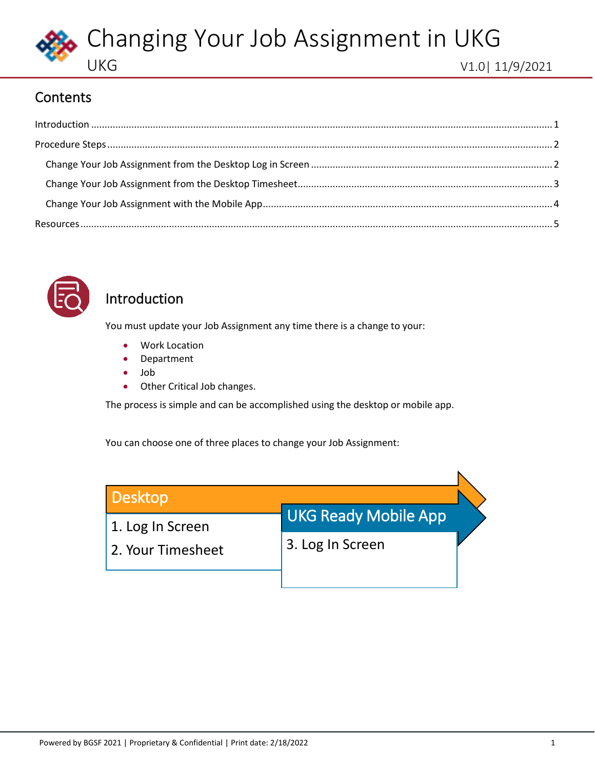

#### **Contents**

<span id="page-0-1"></span>

| $\label{eq:1} \mbox{Introduction} \,\, \ldots \,\, \ldots \,\, \ldots \,\, \ldots \,\, \ldots \,\, \ldots \,\, \ldots \,\, \ldots \,\, \ldots \,\, \ldots \,\, \ldots \,\, \ldots \,\, \ldots \,\, \ldots \,\, \ldots \,\, \ldots \,\, \ldots \,\, \ldots \,\, \ldots \,\, \ldots \,\, \ldots \,\, \ldots \,\, \ldots \,\, \ldots \,\, \ldots \,\, \ldots \,\, \ldots \,\, \ldots \,\, \ldots \,\, \ldots \,\, \ldots \,\, \ldots \,\, \ldots \,\, \ldots \,\,$ |  |
|-----------------------------------------------------------------------------------------------------------------------------------------------------------------------------------------------------------------------------------------------------------------------------------------------------------------------------------------------------------------------------------------------------------------------------------------------------------------|--|
|                                                                                                                                                                                                                                                                                                                                                                                                                                                                 |  |
|                                                                                                                                                                                                                                                                                                                                                                                                                                                                 |  |
|                                                                                                                                                                                                                                                                                                                                                                                                                                                                 |  |
|                                                                                                                                                                                                                                                                                                                                                                                                                                                                 |  |
|                                                                                                                                                                                                                                                                                                                                                                                                                                                                 |  |



#### <span id="page-0-0"></span>Introduction

You must update your Job Assignment any time there is a change to your:

- Work Location
- Department
- Job
- Other Critical Job changes.

The process is simple and can be accomplished using the desktop or mobile app.

You can choose one of three places to change your Job Assignment:

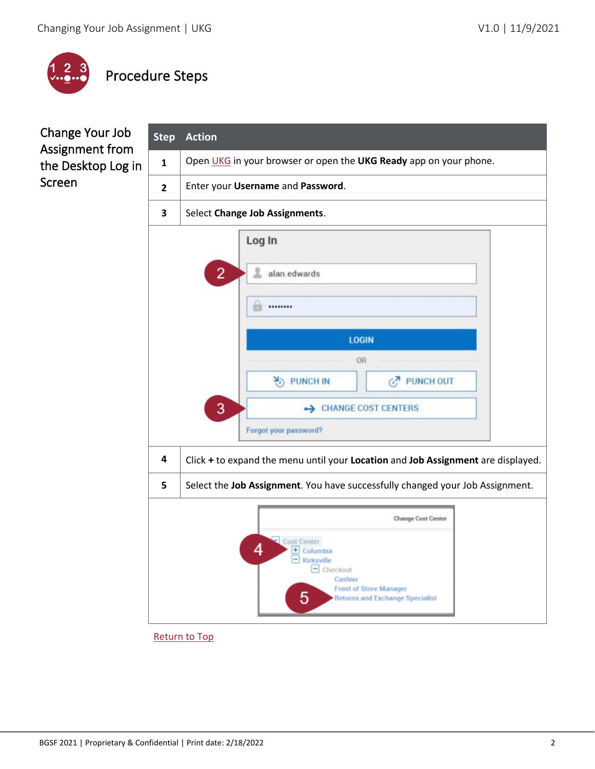

# <span id="page-1-0"></span>Procedure Steps

### <span id="page-1-1"></span>Change Your Job Assignment from the Desktop Log in Screen

| <b>Step</b>                    | <b>Action</b>                                                                                                                                       |  |  |  |  |
|--------------------------------|-----------------------------------------------------------------------------------------------------------------------------------------------------|--|--|--|--|
| $\mathbf{1}$                   | Open UKG in your browser or open the UKG Ready app on your phone.                                                                                   |  |  |  |  |
| $\overline{2}$                 | Enter your Username and Password.                                                                                                                   |  |  |  |  |
| 3                              | Select Change Job Assignments.                                                                                                                      |  |  |  |  |
|                                | Log In                                                                                                                                              |  |  |  |  |
| $\overline{2}$<br>alan.edwards |                                                                                                                                                     |  |  |  |  |
|                                |                                                                                                                                                     |  |  |  |  |
| <b>LOGIN</b>                   |                                                                                                                                                     |  |  |  |  |
|                                | OR                                                                                                                                                  |  |  |  |  |
|                                | 원 PUNCH IN<br>GZ PUNCH OUT                                                                                                                          |  |  |  |  |
|                                | 3<br>← CHANGE COST CENTERS                                                                                                                          |  |  |  |  |
|                                | Forgot your password?                                                                                                                               |  |  |  |  |
| 4                              | Click + to expand the menu until your Location and Job Assignment are displayed.                                                                    |  |  |  |  |
| 5                              | Select the Job Assignment. You have successfully changed your Job Assignment.                                                                       |  |  |  |  |
|                                | <b>Change Cost Center</b>                                                                                                                           |  |  |  |  |
|                                | Cost Center<br>4<br>+ Columbia<br>Kirksville<br>Checkout<br>Cashier<br><b>Front of Store Manager</b><br>5<br><b>Returns and Exchange Specialist</b> |  |  |  |  |

[Return to Top](#page-0-1)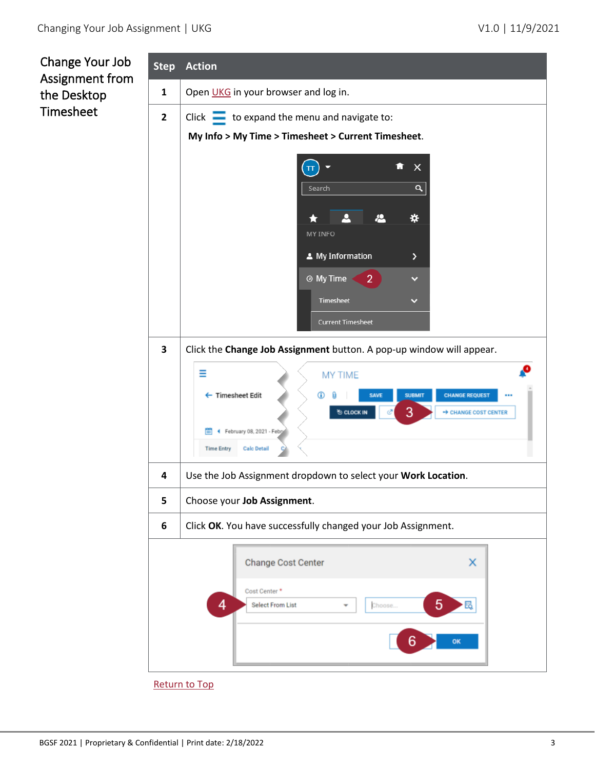<span id="page-2-0"></span>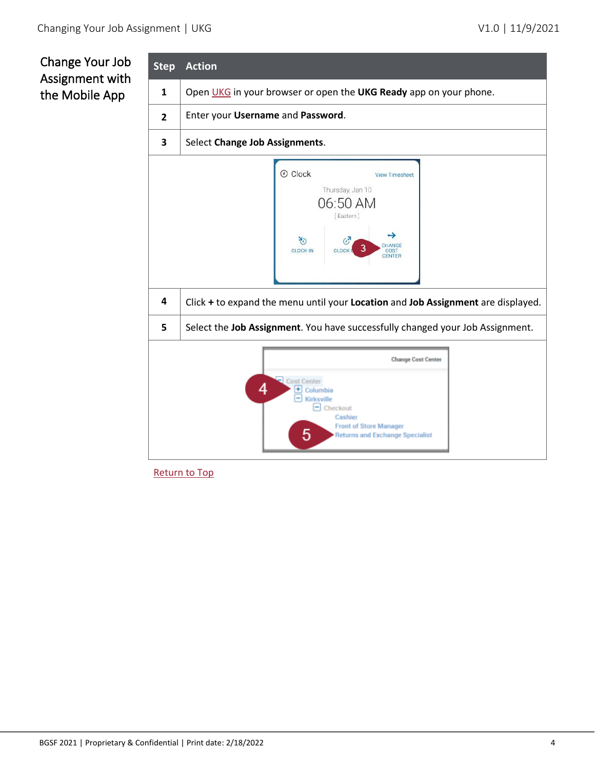### <span id="page-3-0"></span>Change Your Job Assignment with the Mobile App

| <b>Step</b>                                                                                                                                                                       | <b>Action</b>                                                                                                                                                                                                                                      |  |  |  |
|-----------------------------------------------------------------------------------------------------------------------------------------------------------------------------------|----------------------------------------------------------------------------------------------------------------------------------------------------------------------------------------------------------------------------------------------------|--|--|--|
| $\mathbf{1}$                                                                                                                                                                      | Open UKG in your browser or open the UKG Ready app on your phone.                                                                                                                                                                                  |  |  |  |
| $\overline{2}$                                                                                                                                                                    | Enter your Username and Password.                                                                                                                                                                                                                  |  |  |  |
| 3                                                                                                                                                                                 | Select Change Job Assignments.                                                                                                                                                                                                                     |  |  |  |
| 4                                                                                                                                                                                 | <b>O</b> Clock<br><b>View Timesheet</b><br>Thursday, Jan 10<br>06:50 AM<br>[Eastern]<br>খ্য<br>HANGE<br>3<br><b>CLOCK IN</b><br>CLOCK<br>COST<br><b>CENTER</b><br>Click + to expand the menu until your Location and Job Assignment are displayed. |  |  |  |
|                                                                                                                                                                                   |                                                                                                                                                                                                                                                    |  |  |  |
| 5                                                                                                                                                                                 | Select the Job Assignment. You have successfully changed your Job Assignment.                                                                                                                                                                      |  |  |  |
| <b>Change Cost Center</b><br>Cost Center<br>4<br>٠<br>Columbia<br>Kirksville<br>۰<br>Checkout<br>Cashier<br><b>Front of Store Manager</b><br>5<br>Returns and Exchange Specialist |                                                                                                                                                                                                                                                    |  |  |  |

[Return to Top](#page-0-1)